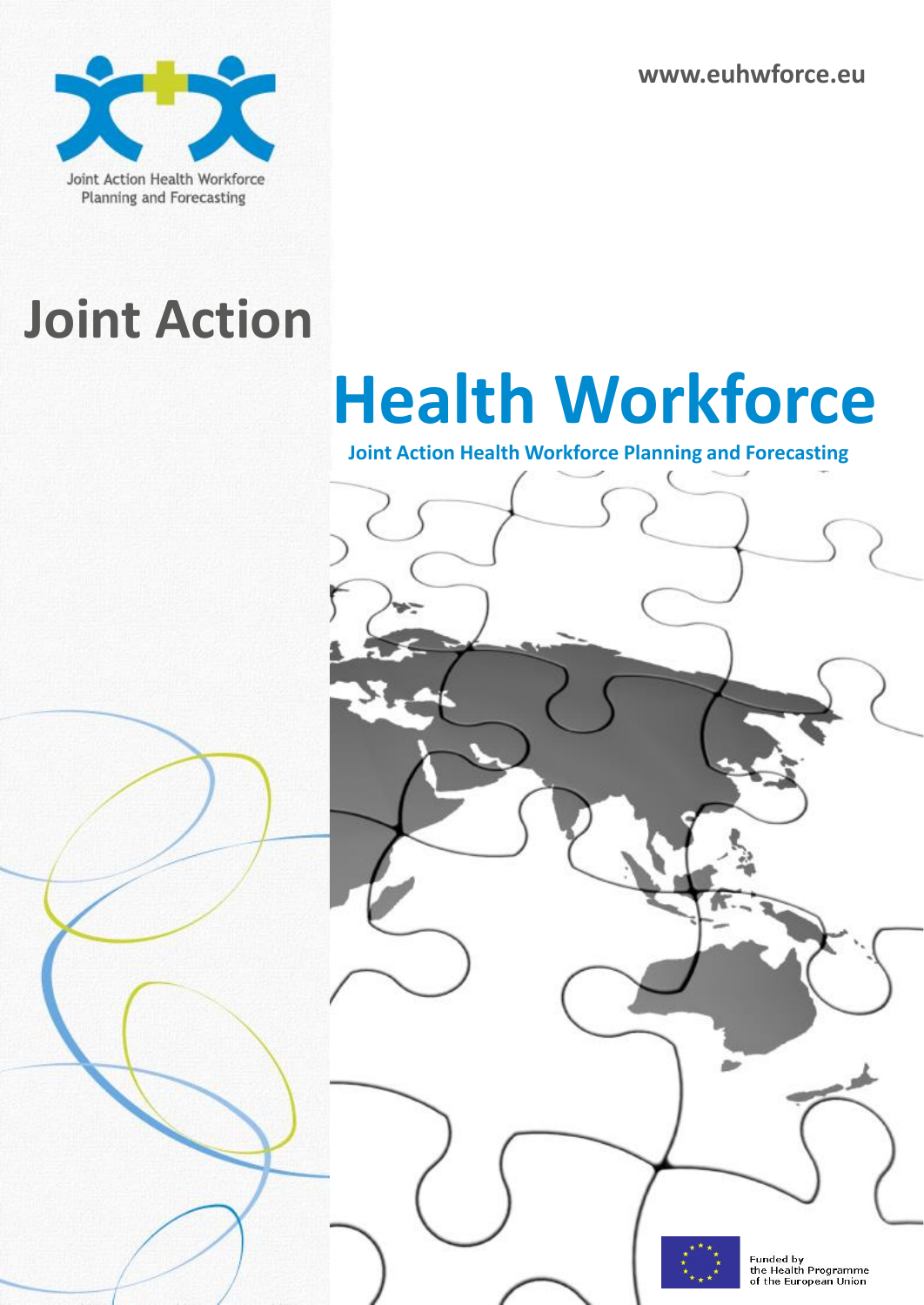**www.euhwforce.eu**



### **Joint Action**

# **Health Workforce**

**Joint Action Health Workforce Planning and Forecasting**

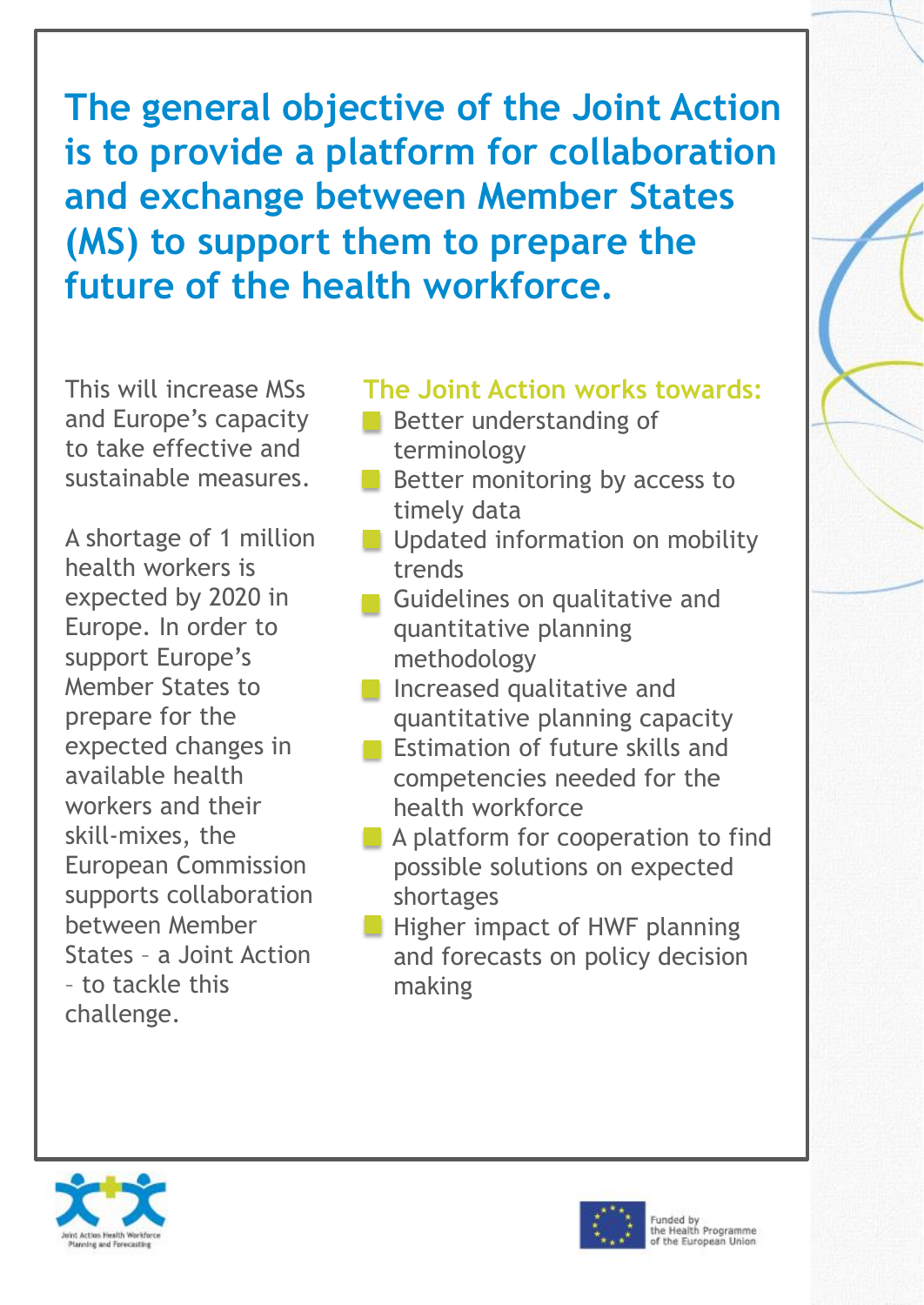**The general objective of the Joint Action is to provide a platform for collaboration and exchange between Member States (MS) to support them to prepare the future of the health workforce.**

This will increase MSs and Europe's capacity to take effective and sustainable measures.

A shortage of 1 million health workers is expected by 2020 in Europe. In order to support Europe's Member States to prepare for the expected changes in available health workers and their skill-mixes, the European Commission supports collaboration between Member States – a Joint Action – to tackle this challenge.

#### **The Joint Action works towards:**

- Better understanding of terminology
- Better monitoring by access to timely data
- **Updated information on mobility** trends
- Guidelines on qualitative and quantitative planning methodology
- **Increased qualitative and** quantitative planning capacity
- Estimation of future skills and competencies needed for the health workforce
- A platform for cooperation to find possible solutions on expected shortages
- Higher impact of HWF planning and forecasts on policy decision making



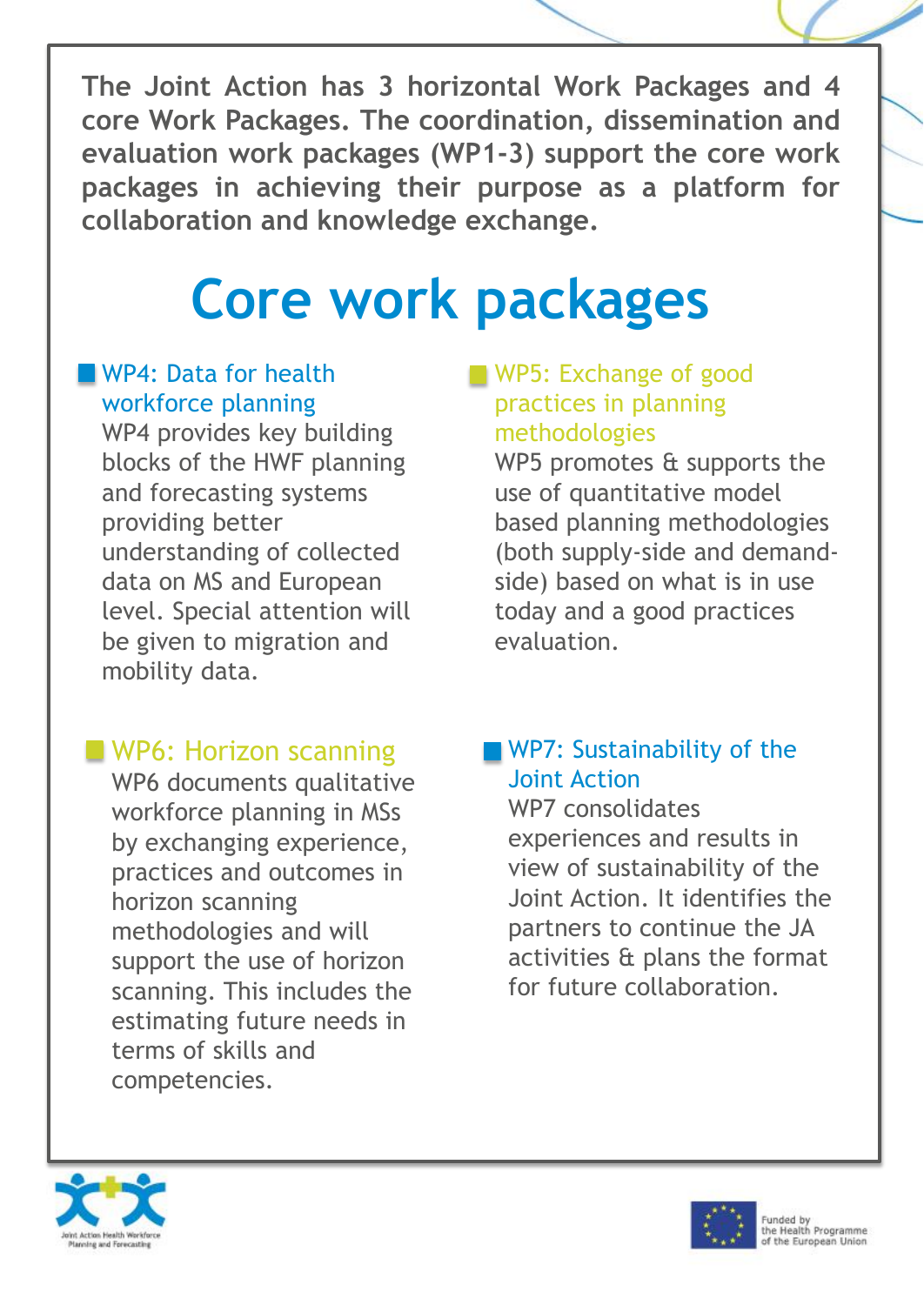**The Joint Action has 3 horizontal Work Packages and 4 core Work Packages. The coordination, dissemination and evaluation work packages (WP1-3) support the core work packages in achieving their purpose as a platform for collaboration and knowledge exchange.**

## **Core work packages**

#### WP4: Data for health workforce planning

WP4 provides key building blocks of the HWF planning and forecasting systems providing better understanding of collected data on MS and European level. Special attention will be given to migration and mobility data.

#### WP6: Horizon scanning

WP6 documents qualitative workforce planning in MSs by exchanging experience, practices and outcomes in horizon scanning methodologies and will support the use of horizon scanning. This includes the estimating future needs in terms of skills and competencies.

#### WP5: Exchange of good practices in planning methodologies

WP5 promotes & supports the use of quantitative model based planning methodologies (both supply-side and demandside) based on what is in use today and a good practices evaluation.

#### WP7: Sustainability of the Joint Action

WP7 consolidates experiences and results in view of sustainability of the Joint Action. It identifies the partners to continue the JA activities & plans the format for future collaboration.